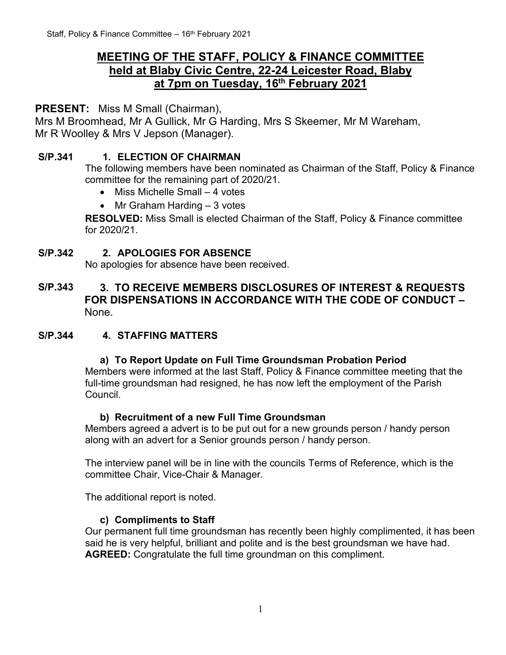# **MEETING OF THE STAFF, POLICY & FINANCE COMMITTEE held at Blaby Civic Centre, 22-24 Leicester Road, Blaby at 7pm on Tuesday, 16th February 2021**

**PRESENT:** Miss M Small (Chairman),

Mrs M Broomhead, Mr A Gullick, Mr G Harding, Mrs S Skeemer, Mr M Wareham, Mr R Woolley & Mrs V Jepson (Manager).

## **S/P.341 1. ELECTION OF CHAIRMAN**

The following members have been nominated as Chairman of the Staff, Policy & Finance committee for the remaining part of 2020/21.

- Miss Michelle Small 4 votes
- Mr Graham Harding 3 votes

**RESOLVED:** Miss Small is elected Chairman of the Staff, Policy & Finance committee for 2020/21.

## **S/P.342 2. APOLOGIES FOR ABSENCE**

No apologies for absence have been received.

## **S/P.343 3. TO RECEIVE MEMBERS DISCLOSURES OF INTEREST & REQUESTS FOR DISPENSATIONS IN ACCORDANCE WITH THE CODE OF CONDUCT –** None.

#### **S/P.344 4. STAFFING MATTERS**

#### **a) To Report Update on Full Time Groundsman Probation Period**

Members were informed at the last Staff, Policy & Finance committee meeting that the full-time groundsman had resigned, he has now left the employment of the Parish Council.

#### **b) Recruitment of a new Full Time Groundsman**

Members agreed a advert is to be put out for a new grounds person / handy person along with an advert for a Senior grounds person / handy person.

The interview panel will be in line with the councils Terms of Reference, which is the committee Chair, Vice-Chair & Manager.

The additional report is noted.

#### **c) Compliments to Staff**

Our permanent full time groundsman has recently been highly complimented, it has been said he is very helpful, brilliant and polite and is the best groundsman we have had. **AGREED:** Congratulate the full time groundman on this compliment.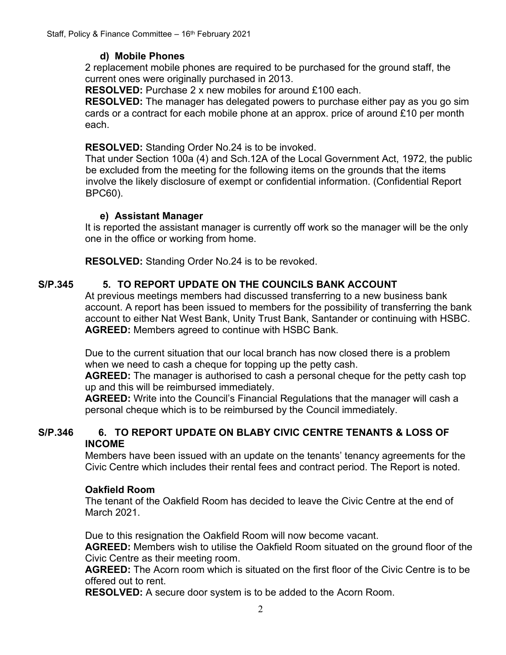## **d) Mobile Phones**

2 replacement mobile phones are required to be purchased for the ground staff, the current ones were originally purchased in 2013.

**RESOLVED:** Purchase 2 x new mobiles for around £100 each.

**RESOLVED:** The manager has delegated powers to purchase either pay as you go sim cards or a contract for each mobile phone at an approx. price of around £10 per month each.

#### **RESOLVED:** Standing Order No.24 is to be invoked.

That under Section 100a (4) and Sch.12A of the Local Government Act, 1972, the public be excluded from the meeting for the following items on the grounds that the items involve the likely disclosure of exempt or confidential information. (Confidential Report BPC60).

#### **e) Assistant Manager**

It is reported the assistant manager is currently off work so the manager will be the only one in the office or working from home.

**RESOLVED:** Standing Order No.24 is to be revoked.

## **S/P.345 5. TO REPORT UPDATE ON THE COUNCILS BANK ACCOUNT**

At previous meetings members had discussed transferring to a new business bank account. A report has been issued to members for the possibility of transferring the bank account to either Nat West Bank, Unity Trust Bank, Santander or continuing with HSBC. **AGREED:** Members agreed to continue with HSBC Bank.

Due to the current situation that our local branch has now closed there is a problem when we need to cash a cheque for topping up the petty cash.

**AGREED:** The manager is authorised to cash a personal cheque for the petty cash top up and this will be reimbursed immediately.

**AGREED:** Write into the Council's Financial Regulations that the manager will cash a personal cheque which is to be reimbursed by the Council immediately.

#### **S/P.346 6. TO REPORT UPDATE ON BLABY CIVIC CENTRE TENANTS & LOSS OF INCOME**

Members have been issued with an update on the tenants' tenancy agreements for the Civic Centre which includes their rental fees and contract period. The Report is noted.

#### **Oakfield Room**

The tenant of the Oakfield Room has decided to leave the Civic Centre at the end of March 2021.

Due to this resignation the Oakfield Room will now become vacant.

**AGREED:** Members wish to utilise the Oakfield Room situated on the ground floor of the Civic Centre as their meeting room.

**AGREED:** The Acorn room which is situated on the first floor of the Civic Centre is to be offered out to rent.

**RESOLVED:** A secure door system is to be added to the Acorn Room.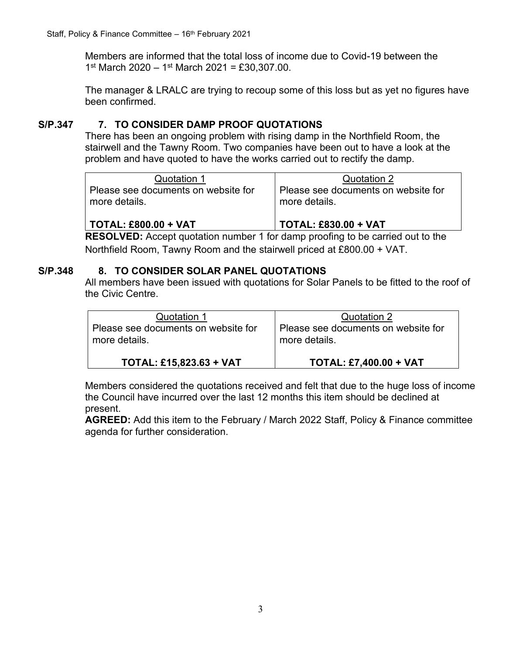Members are informed that the total loss of income due to Covid-19 between the 1st March 2020 - 1st March 2021 = £30,307.00.

The manager & LRALC are trying to recoup some of this loss but as yet no figures have been confirmed.

## **S/P.347 7. TO CONSIDER DAMP PROOF QUOTATIONS**

There has been an ongoing problem with rising damp in the Northfield Room, the stairwell and the Tawny Room. Two companies have been out to have a look at the problem and have quoted to have the works carried out to rectify the damp.

| Quotation 1<br>I Please see documents on website for | Quotation 2<br>Please see documents on website for |
|------------------------------------------------------|----------------------------------------------------|
| more details.                                        | more details.                                      |
|                                                      |                                                    |

**TOTAL: £800.00 + VAT TOTAL: £830.00 + VAT RESOLVED:** Accept quotation number 1 for damp proofing to be carried out to the Northfield Room, Tawny Room and the stairwell priced at £800.00 + VAT.

## **S/P.348 8. TO CONSIDER SOLAR PANEL QUOTATIONS**

All members have been issued with quotations for Solar Panels to be fitted to the roof of the Civic Centre.

| Quotation 1                         | Quotation 2                         |
|-------------------------------------|-------------------------------------|
| Please see documents on website for | Please see documents on website for |
| more details.                       | more details.                       |
| <b>TOTAL: £15,823.63 + VAT</b>      | <b>TOTAL: £7,400.00 + VAT</b>       |

Members considered the quotations received and felt that due to the huge loss of income the Council have incurred over the last 12 months this item should be declined at present.

**AGREED:** Add this item to the February / March 2022 Staff, Policy & Finance committee agenda for further consideration.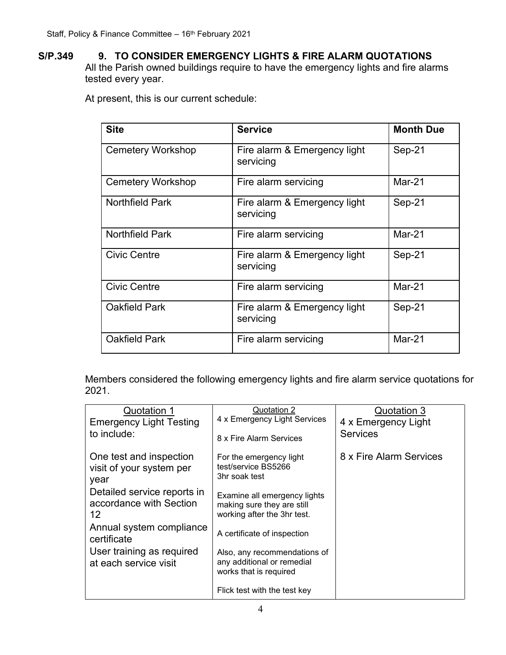**S/P.349 9. TO CONSIDER EMERGENCY LIGHTS & FIRE ALARM QUOTATIONS**  All the Parish owned buildings require to have the emergency lights and fire alarms tested every year.

At present, this is our current schedule:

| <b>Site</b>              | <b>Service</b>                            | <b>Month Due</b> |
|--------------------------|-------------------------------------------|------------------|
| <b>Cemetery Workshop</b> | Fire alarm & Emergency light<br>servicing | Sep-21           |
| <b>Cemetery Workshop</b> | Fire alarm servicing                      | Mar-21           |
| <b>Northfield Park</b>   | Fire alarm & Emergency light<br>servicing | Sep-21           |
| <b>Northfield Park</b>   | Fire alarm servicing                      | $Mar-21$         |
| <b>Civic Centre</b>      | Fire alarm & Emergency light<br>servicing | Sep-21           |
| <b>Civic Centre</b>      | Fire alarm servicing                      | $Mar-21$         |
| <b>Oakfield Park</b>     | Fire alarm & Emergency light<br>servicing | Sep-21           |
| <b>Oakfield Park</b>     | Fire alarm servicing                      | Mar-21           |

Members considered the following emergency lights and fire alarm service quotations for 2021.

| Quotation 1<br><b>Emergency Light Testing</b>                | Quotation 2<br>4 x Emergency Light Services                                               | Quotation 3<br>4 x Emergency Light |
|--------------------------------------------------------------|-------------------------------------------------------------------------------------------|------------------------------------|
| to include:                                                  | 8 x Fire Alarm Services                                                                   | <b>Services</b>                    |
| One test and inspection<br>visit of your system per<br>year  | For the emergency light<br>test/service BS5266<br>3hr soak test                           | 8 x Fire Alarm Services            |
| Detailed service reports in<br>accordance with Section<br>12 | Examine all emergency lights<br>making sure they are still<br>working after the 3hr test. |                                    |
| Annual system compliance<br>certificate                      | A certificate of inspection                                                               |                                    |
| User training as required<br>at each service visit           | Also, any recommendations of<br>any additional or remedial<br>works that is required      |                                    |
|                                                              | Flick test with the test key                                                              |                                    |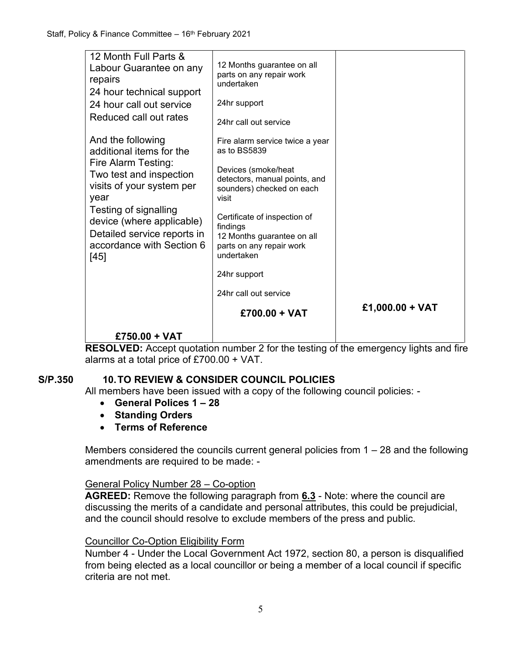| 12 Month Full Parts &<br>Labour Guarantee on any<br>repairs<br>24 hour technical support<br>24 hour call out service<br>Reduced call out rates                | 12 Months guarantee on all<br>parts on any repair work<br>undertaken<br>24hr support<br>24hr call out service                                 |                 |
|---------------------------------------------------------------------------------------------------------------------------------------------------------------|-----------------------------------------------------------------------------------------------------------------------------------------------|-----------------|
| And the following<br>additional items for the<br>Fire Alarm Testing:<br>Two test and inspection<br>visits of your system per<br>year<br>Testing of signalling | Fire alarm service twice a year<br>as to BS5839<br>Devices (smoke/heat<br>detectors, manual points, and<br>sounders) checked on each<br>visit |                 |
| device (where applicable)<br>Detailed service reports in<br>accordance with Section 6<br>[45]                                                                 | Certificate of inspection of<br>findings<br>12 Months guarantee on all<br>parts on any repair work<br>undertaken<br>24hr support              |                 |
|                                                                                                                                                               | 24hr call out service                                                                                                                         | £1,000.00 + VAT |
| $£750.00 + VAT$                                                                                                                                               | £700.00 + VAT                                                                                                                                 |                 |

**RESOLVED:** Accept quotation number 2 for the testing of the emergency lights and fire alarms at a total price of £700.00 + VAT.

## **S/P.350 10.TO REVIEW & CONSIDER COUNCIL POLICIES**

All members have been issued with a copy of the following council policies: -

- **General Polices 1 – 28**
- **Standing Orders**
- **Terms of Reference**

Members considered the councils current general policies from  $1 - 28$  and the following amendments are required to be made: -

#### General Policy Number 28 – Co-option

**AGREED:** Remove the following paragraph from **6.3** - Note: where the council are discussing the merits of a candidate and personal attributes, this could be prejudicial, and the council should resolve to exclude members of the press and public.

## Councillor Co-Option Eligibility Form

Number 4 - Under the Local Government Act 1972, section 80, a person is disqualified from being elected as a local councillor or being a member of a local council if specific criteria are not met.